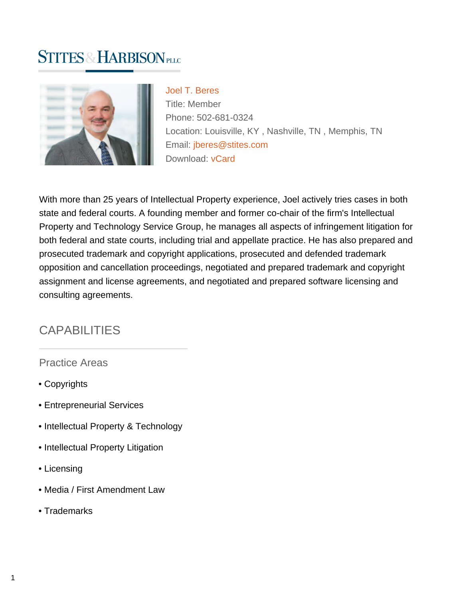# **STITES & HARBISON PLLC**



[Joel T. Beres](https://www.stites.com/attorneys/joel-t-beres) Title: Member Phone: 502-681-0324 Location: Louisville, KY , Nashville, TN , Memphis, TN Email: [jberes@stites.com](mailto:jberes@stites.com) Download: [vCard](https://www.stites.com/vcard/joel-t-beres)

With more than 25 years of Intellectual Property experience, Joel actively tries cases in both state and federal courts. A founding member and former co-chair of the firm's Intellectual Property and Technology Service Group, he manages all aspects of infringement litigation for both federal and state courts, including trial and appellate practice. He has also prepared and prosecuted trademark and copyright applications, prosecuted and defended trademark opposition and cancellation proceedings, negotiated and prepared trademark and copyright assignment and license agreements, and negotiated and prepared software licensing and consulting agreements.

#### **CAPABILITIES**

Practice Areas

- Copyrights
- Entrepreneurial Services
- Intellectual Property & Technology
- Intellectual Property Litigation
- Licensing
- Media / First Amendment Law
- Trademarks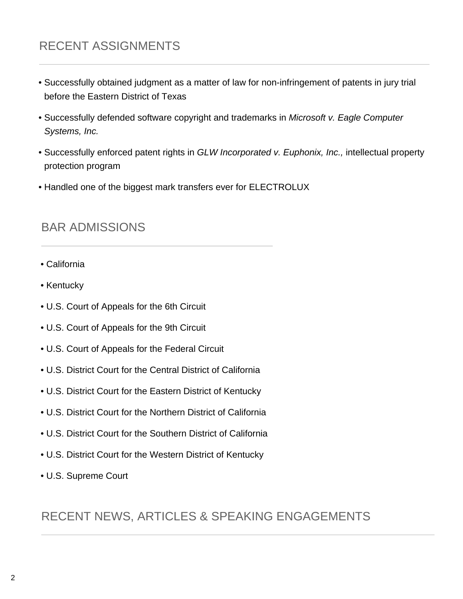# RECENT ASSIGNMENTS

- Successfully obtained judgment as a matter of law for non-infringement of patents in jury trial before the Eastern District of Texas
- Successfully defended software copyright and trademarks in Microsoft v. Eagle Computer Systems, Inc.
- Successfully enforced patent rights in GLW Incorporated v. Euphonix, Inc., intellectual property protection program
- Handled one of the biggest mark transfers ever for ELECTROLUX

#### BAR ADMISSIONS

- California
- Kentucky
- U.S. Court of Appeals for the 6th Circuit
- U.S. Court of Appeals for the 9th Circuit
- U.S. Court of Appeals for the Federal Circuit
- U.S. District Court for the Central District of California
- U.S. District Court for the Eastern District of Kentucky
- U.S. District Court for the Northern District of California
- U.S. District Court for the Southern District of California
- U.S. District Court for the Western District of Kentucky
- U.S. Supreme Court

#### RECENT NEWS, ARTICLES & SPEAKING ENGAGEMENTS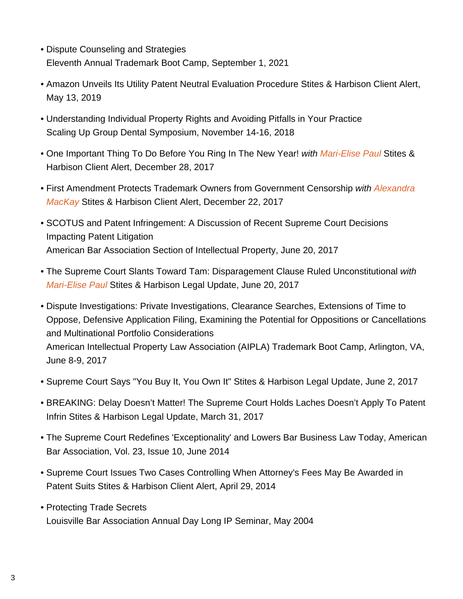- Dispute Counseling and Strategies Eleventh Annual Trademark Boot Camp, September 1, 2021
- Amazon Unveils Its Utility Patent Neutral Evaluation Procedure Stites & Harbison Client Alert, May 13, 2019
- Understanding Individual Property Rights and Avoiding Pitfalls in Your Practice Scaling Up Group Dental Symposium, November 14-16, 2018
- One Important Thing To Do Before You Ring In The New Year! with [Mari-Elise Paul](https://www.stites.com/attorneys/mari-elise-paul) Stites & Harbison Client Alert, December 28, 2017
- First Amendment Protects Trademark Owners from Government Censorship with [Alexandra](https://www.stites.com/attorneys/alexandra-mackay) [MacKay](https://www.stites.com/attorneys/alexandra-mackay) Stites & Harbison Client Alert, December 22, 2017
- SCOTUS and Patent Infringement: A Discussion of Recent Supreme Court Decisions Impacting Patent Litigation American Bar Association Section of Intellectual Property, June 20, 2017
- The Supreme Court Slants Toward Tam: Disparagement Clause Ruled Unconstitutional with [Mari-Elise Paul](https://www.stites.com/attorneys/mari-elise-paul) Stites & Harbison Legal Update, June 20, 2017
- Dispute Investigations: Private Investigations, Clearance Searches, Extensions of Time to Oppose, Defensive Application Filing, Examining the Potential for Oppositions or Cancellations and Multinational Portfolio Considerations American Intellectual Property Law Association (AIPLA) Trademark Boot Camp, Arlington, VA, June 8-9, 2017
- Supreme Court Says "You Buy It, You Own It" Stites & Harbison Legal Update, June 2, 2017
- BREAKING: Delay Doesn't Matter! The Supreme Court Holds Laches Doesn't Apply To Patent Infrin Stites & Harbison Legal Update, March 31, 2017
- The Supreme Court Redefines 'Exceptionality' and Lowers Bar Business Law Today, American Bar Association, Vol. 23, Issue 10, June 2014
- Supreme Court Issues Two Cases Controlling When Attorney's Fees May Be Awarded in Patent Suits Stites & Harbison Client Alert, April 29, 2014
- Protecting Trade Secrets Louisville Bar Association Annual Day Long IP Seminar, May 2004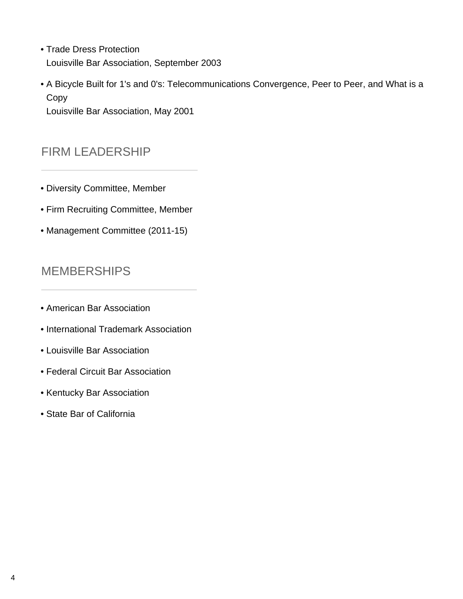- Trade Dress Protection Louisville Bar Association, September 2003
- A Bicycle Built for 1's and 0's: Telecommunications Convergence, Peer to Peer, and What is a Copy

Louisville Bar Association, May 2001

### FIRM LEADERSHIP

- Diversity Committee, Member
- Firm Recruiting Committee, Member
- Management Committee (2011-15)

## MEMBERSHIPS

- American Bar Association
- International Trademark Association
- Louisville Bar Association
- Federal Circuit Bar Association
- Kentucky Bar Association
- State Bar of California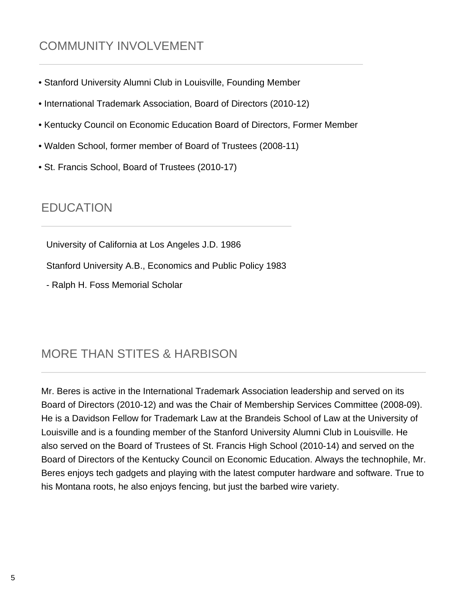## COMMUNITY INVOLVEMENT

- Stanford University Alumni Club in Louisville, Founding Member
- International Trademark Association, Board of Directors (2010-12)
- Kentucky Council on Economic Education Board of Directors, Former Member
- Walden School, former member of Board of Trustees (2008-11)
- St. Francis School, Board of Trustees (2010-17)

#### **EDUCATION**

University of California at Los Angeles J.D. 1986

Stanford University A.B., Economics and Public Policy 1983

- Ralph H. Foss Memorial Scholar

## MORE THAN STITES & HARBISON

Mr. Beres is active in the International Trademark Association leadership and served on its Board of Directors (2010-12) and was the Chair of Membership Services Committee (2008-09). He is a Davidson Fellow for Trademark Law at the Brandeis School of Law at the University of Louisville and is a founding member of the Stanford University Alumni Club in Louisville. He also served on the Board of Trustees of St. Francis High School (2010-14) and served on the Board of Directors of the Kentucky Council on Economic Education. Always the technophile, Mr. Beres enjoys tech gadgets and playing with the latest computer hardware and software. True to his Montana roots, he also enjoys fencing, but just the barbed wire variety.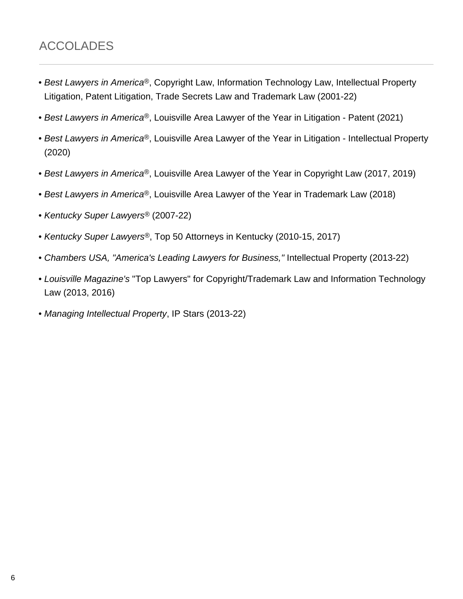## ACCOLADES

- Best Lawyers in America®, Copyright Law, Information Technology Law, Intellectual Property Litigation, Patent Litigation, Trade Secrets Law and Trademark Law (2001-22)
- Best Lawyers in America<sup>®</sup>, Louisville Area Lawyer of the Year in Litigation Patent (2021)
- Best Lawyers in America<sup>®</sup>, Louisville Area Lawyer of the Year in Litigation Intellectual Property (2020)
- Best Lawyers in America®, Louisville Area Lawyer of the Year in Copyright Law (2017, 2019)
- Best Lawyers in America<sup>®</sup>, Louisville Area Lawyer of the Year in Trademark Law (2018)
- Kentucky Super Lawyers® (2007-22)
- Kentucky Super Lawyers<sup>®</sup>, Top 50 Attorneys in Kentucky (2010-15, 2017)
- Chambers USA, "America's Leading Lawyers for Business," Intellectual Property (2013-22)
- Louisville Magazine's "Top Lawyers" for Copyright/Trademark Law and Information Technology Law (2013, 2016)
- Managing Intellectual Property, IP Stars (2013-22)